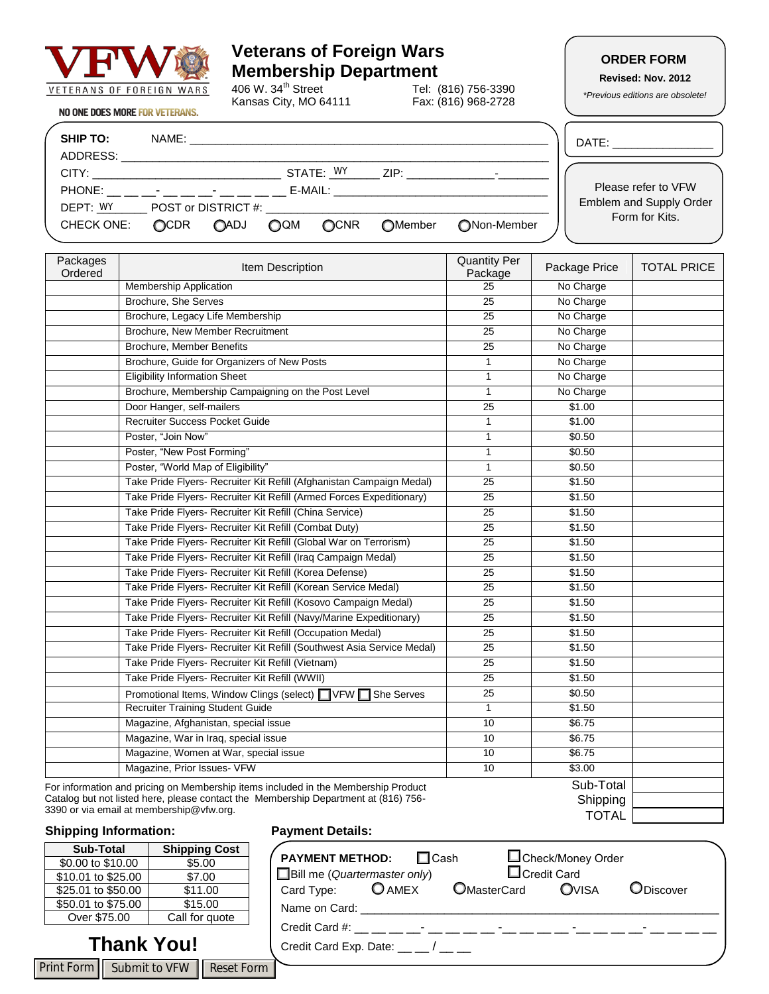

# **Veterans of Foreign Wars Membership Department**<br>406 W. 34<sup>th</sup> Street Tel: (Tel:

Kansas City, MO 64111

Tel: (816) 756-3390<br>Fax: (816) 968-2728

### **ORDER FORM**

**Revised: Nov. 2012**

*\*Previous editions are obsolete!*

| <b>NO ONE DOES MORE FOR VETERANS.</b> |
|---------------------------------------|
|---------------------------------------|

| <b>SHIP TO:</b><br>ADDRESS: | NAME:                                           |                     |            |           |                |             | DATE:                          |
|-----------------------------|-------------------------------------------------|---------------------|------------|-----------|----------------|-------------|--------------------------------|
| CITY:                       |                                                 |                     |            | STATE: WY | ZIP:           |             |                                |
| PHONE:                      | the contract of the contract of the contract of |                     |            | E-MAIL:   |                |             | Please refer to VFW            |
| DEPT: WY                    |                                                 | POST or DISTRICT #: |            |           |                |             | <b>Emblem and Supply Order</b> |
| <b>CHECK ONE:</b>           | <b>OCDR</b>                                     | <b>OADJ</b>         | <b>OQM</b> | OCNR      | <b>OMember</b> | ∩Non-Member | Form for Kits.                 |

| Packages<br>Ordered | Item Description                                                                    | <b>Quantity Per</b><br>Package | Package Price | <b>TOTAL PRICE</b> |
|---------------------|-------------------------------------------------------------------------------------|--------------------------------|---------------|--------------------|
|                     | <b>Membership Application</b>                                                       | $\overline{25}$                | No Charge     |                    |
|                     | Brochure, She Serves                                                                | $\overline{25}$                | No Charge     |                    |
|                     | Brochure, Legacy Life Membership                                                    | $\overline{25}$                | No Charge     |                    |
|                     | Brochure, New Member Recruitment                                                    | 25                             | No Charge     |                    |
|                     | <b>Brochure, Member Benefits</b>                                                    | $\overline{25}$                | No Charge     |                    |
|                     | Brochure, Guide for Organizers of New Posts                                         | 1                              | No Charge     |                    |
|                     | <b>Eligibility Information Sheet</b>                                                | 1                              | No Charge     |                    |
|                     | Brochure, Membership Campaigning on the Post Level                                  | 1                              | No Charge     |                    |
|                     | Door Hanger, self-mailers                                                           | $\overline{25}$                | \$1.00        |                    |
|                     | <b>Recruiter Success Pocket Guide</b>                                               | 1                              | \$1.00        |                    |
|                     | Poster, "Join Now"                                                                  | 1                              | \$0.50        |                    |
|                     | Poster, "New Post Forming"                                                          | 1                              | \$0.50        |                    |
|                     | Poster, "World Map of Eligibility"                                                  | $\mathbf{1}$                   | \$0.50        |                    |
|                     | Take Pride Flyers- Recruiter Kit Refill (Afghanistan Campaign Medal)                | 25                             | \$1.50        |                    |
|                     | Take Pride Flyers- Recruiter Kit Refill (Armed Forces Expeditionary)                | $\overline{25}$                | \$1.50        |                    |
|                     | Take Pride Flyers- Recruiter Kit Refill (China Service)                             | $\overline{25}$                | \$1.50        |                    |
|                     | Take Pride Flyers- Recruiter Kit Refill (Combat Duty)                               | 25                             | \$1.50        |                    |
|                     | Take Pride Flyers- Recruiter Kit Refill (Global War on Terrorism)                   | $\overline{25}$                | \$1.50        |                    |
|                     | Take Pride Flyers- Recruiter Kit Refill (Iraq Campaign Medal)                       | 25                             | \$1.50        |                    |
|                     | Take Pride Flyers- Recruiter Kit Refill (Korea Defense)                             | 25                             | \$1.50        |                    |
|                     | Take Pride Flyers- Recruiter Kit Refill (Korean Service Medal)                      | $\overline{25}$                | \$1.50        |                    |
|                     | Take Pride Flyers- Recruiter Kit Refill (Kosovo Campaign Medal)                     | 25                             | \$1.50        |                    |
|                     | Take Pride Flyers- Recruiter Kit Refill (Navy/Marine Expeditionary)                 | 25                             | \$1.50        |                    |
|                     | Take Pride Flyers- Recruiter Kit Refill (Occupation Medal)                          | 25                             | \$1.50        |                    |
|                     | Take Pride Flyers- Recruiter Kit Refill (Southwest Asia Service Medal)              | 25                             | \$1.50        |                    |
|                     | Take Pride Flyers- Recruiter Kit Refill (Vietnam)                                   | $\overline{25}$                | \$1.50        |                    |
|                     | Take Pride Flyers- Recruiter Kit Refill (WWII)                                      | 25                             | \$1.50        |                    |
|                     | Promotional Items, Window Clings (select) VFW<br>She Serves                         | $\overline{25}$                | \$0.50        |                    |
|                     | <b>Recruiter Training Student Guide</b>                                             | $\mathbf{1}$                   | \$1.50        |                    |
|                     | Magazine, Afghanistan, special issue                                                | 10                             | \$6.75        |                    |
|                     | Magazine, War in Iraq, special issue                                                | $\overline{10}$                | \$6.75        |                    |
|                     | Magazine, Women at War, special issue                                               | 10                             | \$6.75        |                    |
|                     | Magazine, Prior Issues- VFW                                                         | 10                             | \$3.00        |                    |
|                     | For information and pricing on Membership items included in the Membership Product  |                                | Sub-Total     |                    |
|                     | Catalog but not listed here, please contact the Membership Department at (816) 756- |                                | Shipping      |                    |

Catalog but not listed here, please contact the Membership Department at (816) 756- 3390 or via email at membership@vfw.org.

#### **Shipping Information: Payment Details:**

#### **Sub-Total Shipping Cost**  $$0.00 \text{ to } $10.00$  \$5.00<br>\$10.01 to \$25.00 \$7.00 \$10.01 to \$25.00 \$25.01 to \$50.00 \$11.00 \$50.01 to \$75.00 \$15.00<br>Over \$75.00 Call for que Call for quote

### **Thank You!**

Print Form | Submit to VFW | Reset Form |

|      | □Check/Money Order<br><b>PAYMENT METHOD:</b><br>$\Box$ Cash<br>$\Box$ Credit Card<br>$\Box$ Bill me (Quartermaster only) |  |
|------|--------------------------------------------------------------------------------------------------------------------------|--|
|      | Card Type: $\bigcirc$ AMEX<br><b>OMasterCard</b><br>OVISA<br>ODiscover                                                   |  |
|      | Name on Card:                                                                                                            |  |
|      | Credit Card #:                                                                                                           |  |
|      | Credit Card Exp. Date: $\frac{1}{2}$ / $\frac{1}{2}$                                                                     |  |
| Form |                                                                                                                          |  |

TOTAL